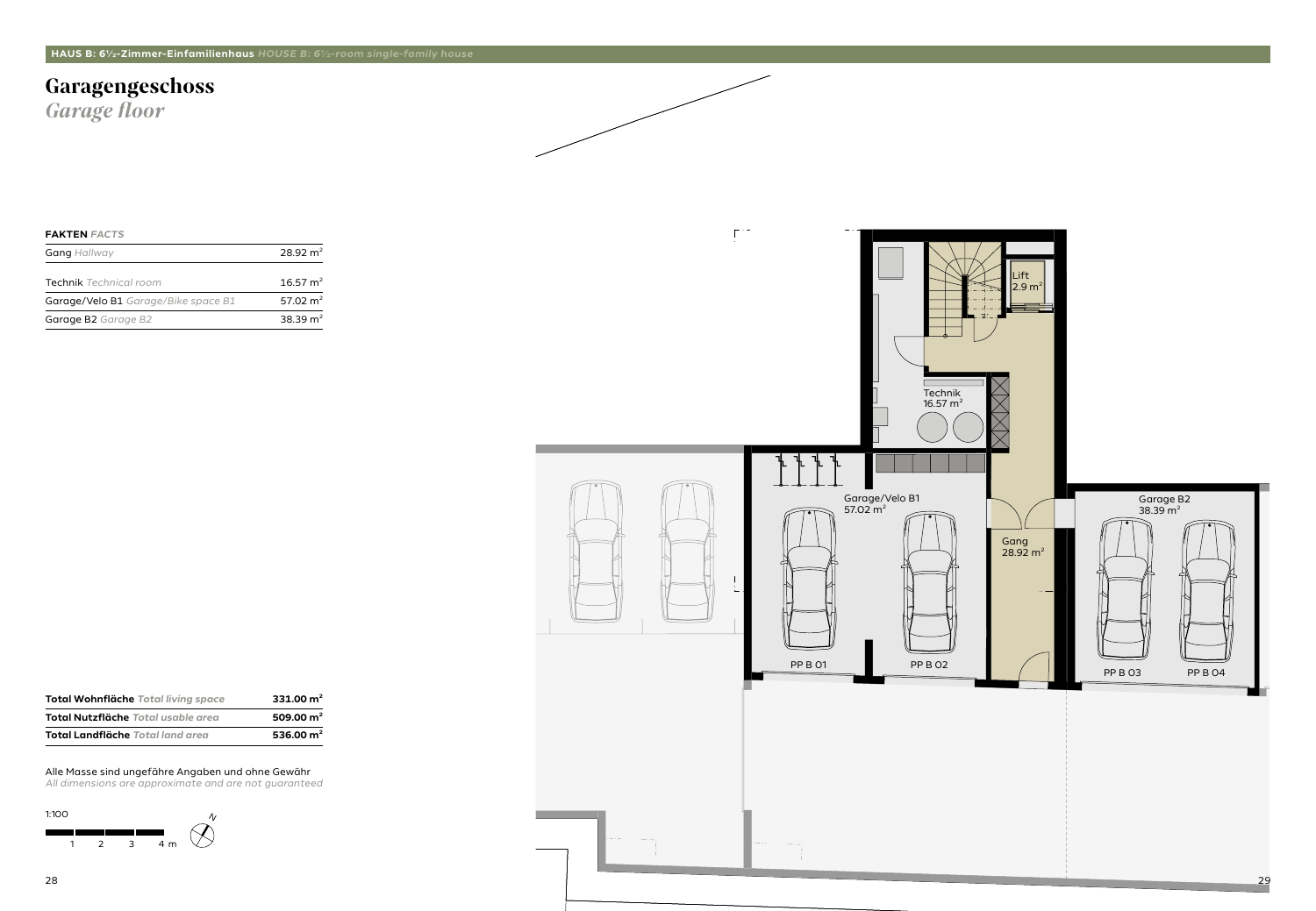### **Garagengeschoss**

*Garage floor*

#### **FAKTEN** *FACTS*

| <b>Gang Hallway</b>                        | $28.92 \text{ m}^2$  |  |
|--------------------------------------------|----------------------|--|
| <b>Technik</b> Technical room              | $16.57 \text{ m}^2$  |  |
| <b>Garage/Velo B1</b> Garage/Bike space B1 | 57.02 m <sup>2</sup> |  |
| Garage B2 Garage B2                        | 38.39 $m2$           |  |



#### Alle Masse sind ungefähre Angaben und ohne Gewähr



| Total Wohnfläche Total living space       | 331.00 $m2$ |
|-------------------------------------------|-------------|
| <b>Total Nutzfläche</b> Total usable area | 509.00 $m2$ |
| <b>Total Landfläche</b> Total land area   | 536.00 $m2$ |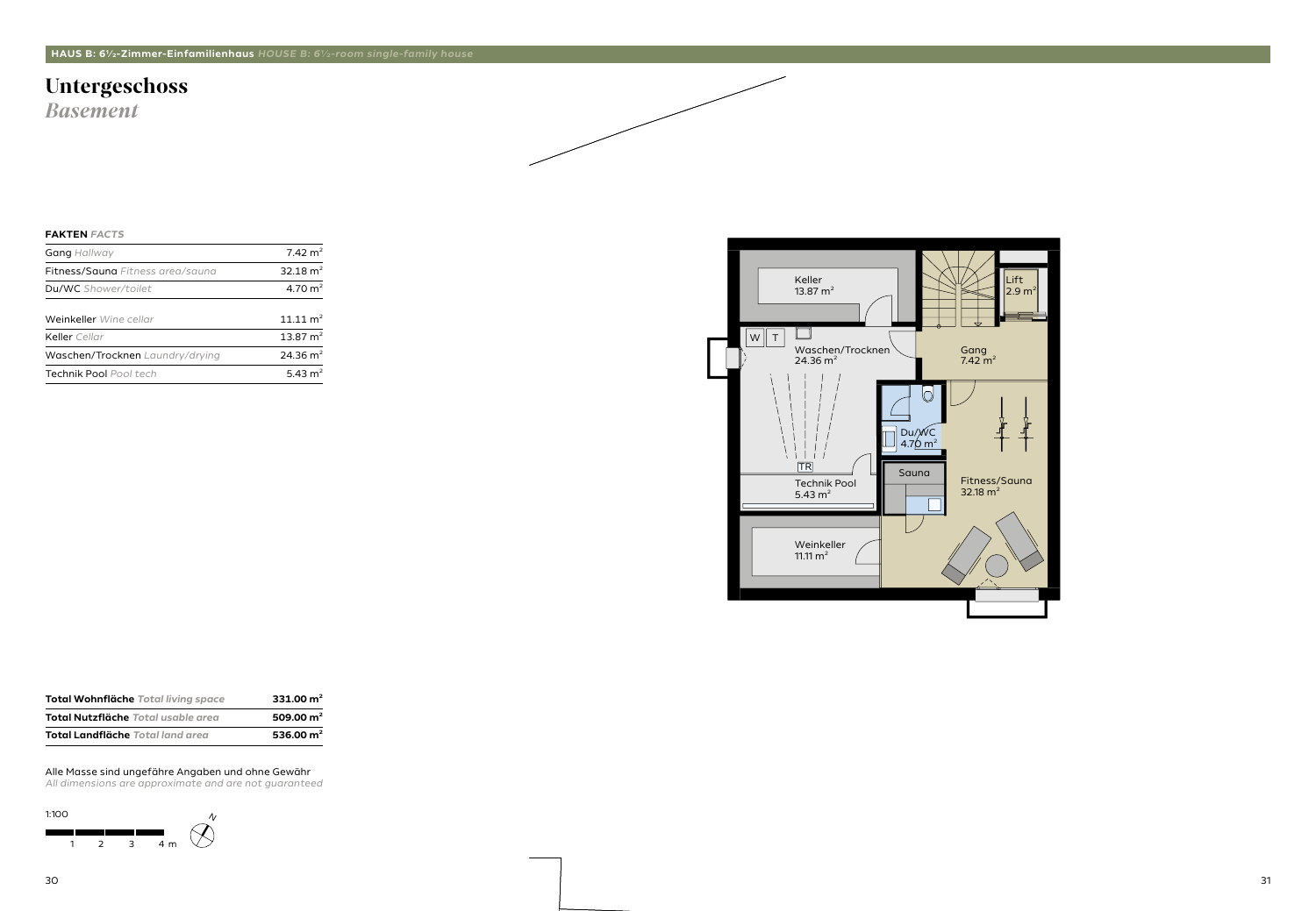### **Untergeschoss**

*Basement*

#### **FAKTEN** *FACTS*

| <b>Gang Hallway</b>                     | $7.42 \text{ m}^2$  |
|-----------------------------------------|---------------------|
| <b>Fitness/Sauna</b> Fitness area/sauna | 32.18 $m2$          |
| Du/WC Shower/toilet                     | 4.70 $m2$           |
| Weinkeller Wine cellar                  | $11.11 \text{ m}^2$ |
| Keller Cellar                           | 13.87 $m2$          |
| Waschen/Trocknen Laundry/drying         | $24.36 \text{ m}^2$ |
| <b>Technik Pool Pool tech</b>           | 5.43 $m2$           |
|                                         |                     |

1:100  $\gamma$  $\bigotimes$ a kacamatan ing Kabupatèn Kabupatèn 1 2 3 4 m





#### Alle Masse sind ungefähre Angaben und ohne Gewähr

| <b>Total Wohnfläche</b> Total living space | 331.00 $m2$ |
|--------------------------------------------|-------------|
| <b>Total Nutzfläche</b> Total usable area  | 509.00 $m2$ |
| <b>Total Landfläche</b> Total land area    | 536.00 $m2$ |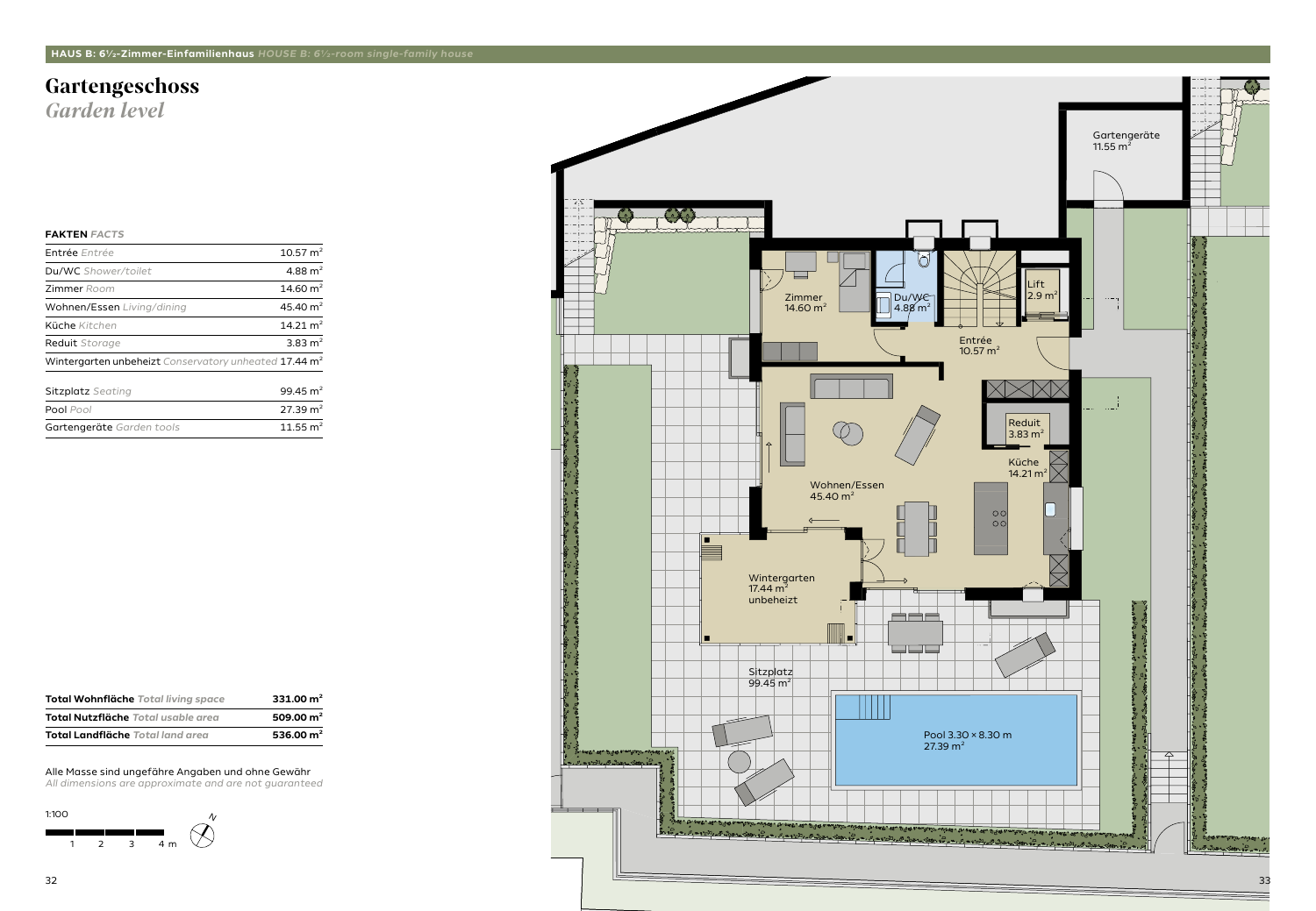## **Gartengeschoss**

*Garden level*

#### **FAKTEN** *FACTS*

| <b>Entrée</b> Entrée                                              | $10.57 \text{ m}^2$ |
|-------------------------------------------------------------------|---------------------|
| Du/WC Shower/toilet                                               | 4.88 $m2$           |
| <b>Zimmer</b> Room                                                | 14.60 $m2$          |
| Wohnen/Essen Living/dining                                        | 45.40 $m2$          |
| Küche Kitchen                                                     | 14.21 $m2$          |
| <b>Reduit</b> Storage                                             | 3.83 $m2$           |
| Wintergarten unbeheizt Conservatory unheated 17.44 m <sup>2</sup> |                     |
| <b>Sitzplatz</b> Seating                                          | 99.45 $m2$          |
| Pool Pool                                                         | $27.39 \text{ m}^2$ |
| Gartengeräte Garden tools                                         | 11.55 $m2$          |

![](_page_2_Figure_8.jpeg)

#### Alle Masse sind ungefähre Angaben und ohne Gewähr

![](_page_2_Figure_9.jpeg)

| <b>Total Wohnfläche Total living space</b> | 331.00 $m2$ |
|--------------------------------------------|-------------|
| <b>Total Nutzfläche</b> Total usable area  | 509.00 $m2$ |
| <b>Total Landfläche</b> Total land area    | 536.00 $m2$ |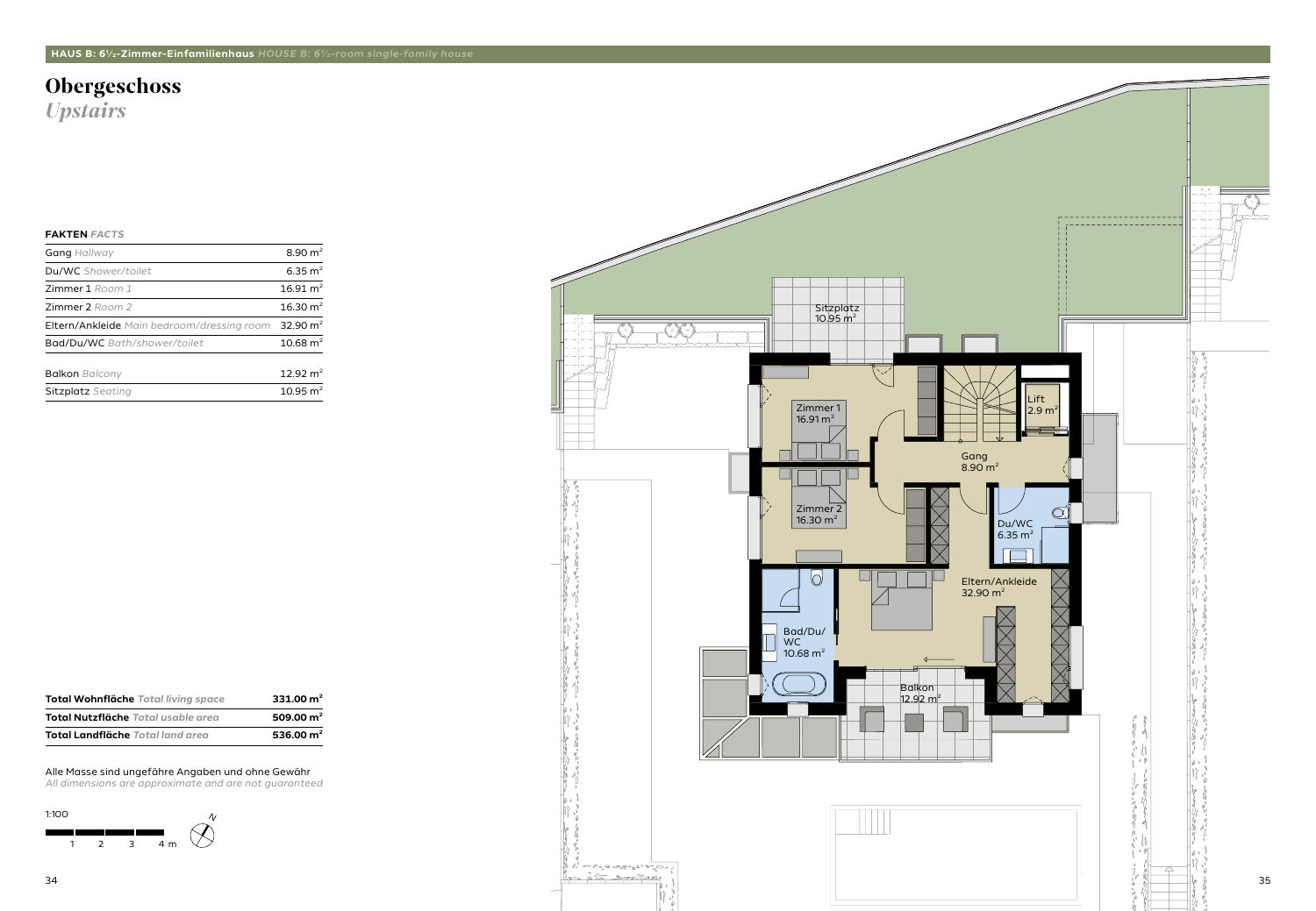# **Obergeschoss**

*Upstairs*

#### **FAKTEN** *FACTS*

| <b>Gang Hallway</b>                               | 8.90 $m2$           |
|---------------------------------------------------|---------------------|
| Du/WC Shower/toilet                               | 6.35 $m2$           |
| <b>Zimmer 1</b> Room 1                            | 16.91 $m2$          |
| <b>Zimmer 2</b> Room 2                            | 16.30 $m2$          |
| <b>Eltern/Ankleide</b> Main bedroom/dressing room | 32.90 $m2$          |
| <b>Bad/Du/WC</b> Bath/shower/toilet               | $10.68 \text{ m}^2$ |
| <b>Balkon</b> Balcony                             | 12.92 $m2$          |
| <b>Sitzplatz</b> Seating                          | 10.95 $m2$          |

![](_page_3_Figure_8.jpeg)

#### Alle Masse sind ungefähre Angaben und ohne Gewähr

![](_page_3_Figure_9.jpeg)

| Total Wohnfläche Total living space       | 331.00 $m2$ |
|-------------------------------------------|-------------|
| <b>Total Nutzfläche</b> Total usable area | 509.00 $m2$ |
| <b>Total Landfläche</b> Total land area   | 536.00 $m2$ |